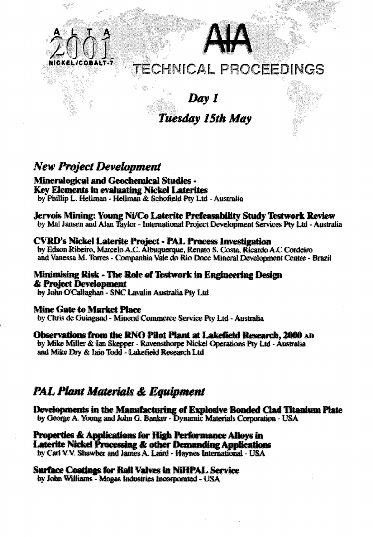



# **TECHNICAL** PROCEEDINGS

# *Day I Tuesday 15th May*

# *New Project Development*

**Mineralogkal and GeochemicaJ Studies - Key Elements in evaluating Nickel Laterites**

by Phillip L. Heilman - Hellman & Schofield Pty Ltd - Australia

#### **Jervois Mining: Young Ni/Co Laterite Prefeasability Study Testwork Review**

by Mai Jansen and Alan Taylor - International Project Development Services Pty Ltd - Australia

#### **CVRD's Nickel Laterite Project - PAL Process Investigation**

by Edson Ribeiro, Marcelo A.C. Albuquerque, Renato S. Costa, Ricardo A.C Cordeiro and Vanessa M. Torres - Companhia Vale do Rio Doce Mineral Development Centre - Brazil

**Minimising Risk - Hie Role of Testwork in Engineering Design & Project Development** by John O'Callaghan - SNC Lavalin Australia Pty Ltd

### **Mine Gate to Market Place**

by Chris de Guingand - Mineral Commerce Service Pty Ltd - Australia

#### Observations from the RNO Pilot Plant at Lakefield Research. 2000 AD

by Mike Miller & Ian Skepper - Ravensthorpe Nickel Operations Pty Ltd - Australia and Mike Dry & Iain Todd - Lakefield Research Ltd

## *PAL Plant Materials* **«&** *Equipment*

**Developments in the Manufacturing of Explosive Bonded Clad Titanium Plate**<br>by George A. Young and John G. Banker - Dynamic Materials Corporation - USA by George A. Young and John G. Banker - Dynamic Materials Corporation - USA<br>by George A. Young and John G. Banker - Dynamic Materials Corporation - USA c materials corporation and the corporation of the corporation of the corporation of the corporation of the co<br>The corporation of the corporation of the corporation of the corporation of the corporation of the corporation

**Properties & Applications for High Performance Alloys to Laterite Nickel Processing & other Demanding Applications** by Carl V.V. Shawber and James A. Laird - Haynes International - USA

### **Surface Coatings for Ball Valves in NiHPALSenice**

by John Williams - Mogas Industries Incorporated - USA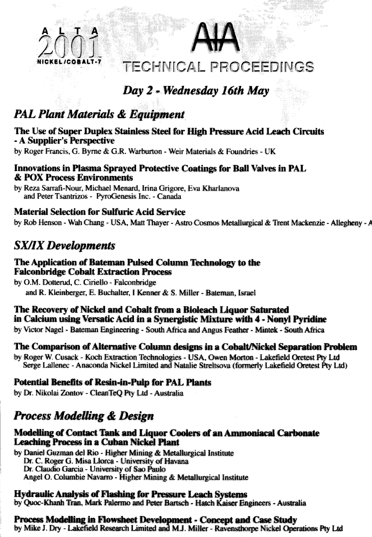#### **NICKEL/COB ALT-7 p—.** TECHNICAL PROCEEDINGS

# **J -** *Wednesday 16th May*

# *PAL Plant Materials & Equipment*

**A L T A**

#### The Use of Super Duplex Stainless Steel for High Pressure Acid Leach Circuits - A Supplier's Perspective

by Roger Francis, G. Byrne & G.R. Warburton - Weir Materials & Foundries - UK

### Innovations in Plasma Sprayed Protective Coatings for Ball Valves in PAL & POX Process Environments

by Reza Sarrafi-Nour, Michael Menard, Irina Grigore, Eva Kharlanova and Peter Tsantrizos - PyroGenesis Inc. - Canada

### Material Selection for Sulfuric Acid Service

by Rob Henson - Wah Chang - USA, Matt Thayer - Astro Cosmos Metallurgical & Trent Mackenzie - Allegheny - A

# *SX/IX Developments*

#### The Application of Bateman Pulsed Column Technology to the Falconbridge Cobalt Extraction Process

by O.M. Dotterud, C. Ciriello - Falconbridge and R. Kleinberger, E. Buchalter, I Kenner & S. Miller - Bateman, Israel

### The Recovery of Nickel and Cobalt from a Bioleach liquor Saturated in Calcium using Versatic Acid in a Synergistic Mixture with 4 - Nonyl Pyridine

by Victor Nagel - Bateman Engineering - South Africa and Angus Feather - Mintek - South Africa

### The Comparison of Alternative Column designs in a Cobalt/Nickel Separation Problem

by Roger W. Cusack - Koch Extraction Technologies - USA, Owen Morton - Lakefield Qretest Pty Ltd Serge Lallenec - Anaconda Nickel Limited and Natalie Streltsova (formerly Lakefield Oretest Pty Ltd)

### Potential Benefits of Resin-in-Pulp for PAL Plants

by Dr. Nikolai Zontov - CleanTeQ Pty Ltd - Australia

# *Process Modelling & Design*

#### Modelling of Contact Tank and Liquor Coolers of an Ammoniacal Carbonate Leaching Process in a Cuban Nickel Plant

by Daniel Guzman del Rio - Higher Mining & Metallurgical Institute Dr. C. Roger G. Misa Llorca - University of Havana Dr. Claudio Garcia - University of Sao Paulo Angel O. Columbie Navarro - Higher Mining & Metallurgical Institute

#### Hydraulic Analysis of Flashing for Pressure Leach Systems

by Quoc-Khanh Tran, Mark Palermo and Peter Bartsch - Hatch Kaiser Engineers - Australia

#### Process Modelling in Flowsheet Development - Concept and Case Study

by Mike J. Dry - Lakefield Research Limited and MJ. Miller - Ravensthorpe Nickel Operations Pty Ltd